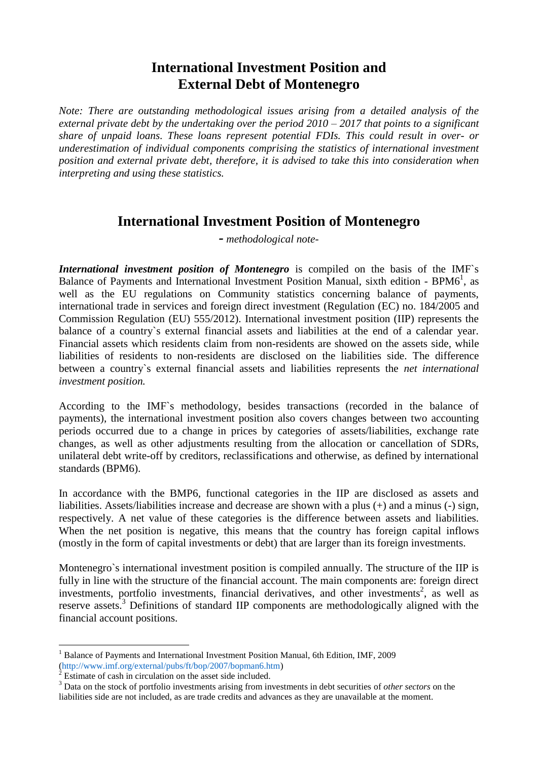## **International Investment Position and External Debt of Montenegro**

*Note: There are outstanding methodological issues arising from a detailed analysis of the external private debt by the undertaking over the period 2010 – 2017 that points to a significant share of unpaid loans. These loans represent potential FDIs. This could result in over- or underestimation of individual components comprising the statistics of international investment position and external private debt, therefore, it is advised to take this into consideration when interpreting and using these statistics.* 

## **International Investment Position of Montenegro**

*- methodological note-*

*International investment position of Montenegro* is compiled on the basis of the IMF's Balance of Payments and International Investment Position Manual, sixth edition -  $BPM6<sup>1</sup>$ , as well as the EU regulations on Community statistics concerning balance of payments, international trade in services and foreign direct investment (Regulation (EC) no. 184/2005 and Commission Regulation (EU) 555/2012). International investment position (IIP) represents the balance of a country`s external financial assets and liabilities at the end of a calendar year. Financial assets which residents claim from non-residents are showed on the assets side, while liabilities of residents to non-residents are disclosed on the liabilities side. The difference between a country`s external financial assets and liabilities represents the *net international investment position.*

According to the IMF`s methodology, besides transactions (recorded in the balance of payments), the international investment position also covers changes between two accounting periods occurred due to a change in prices by categories of assets/liabilities, exchange rate changes, as well as other adjustments resulting from the allocation or cancellation of SDRs, unilateral debt write-off by creditors, reclassifications and otherwise, as defined by international standards (BPM6).

In accordance with the BMP6, functional categories in the IIP are disclosed as assets and liabilities. Assets/liabilities increase and decrease are shown with a plus (+) and a minus (-) sign, respectively. A net value of these categories is the difference between assets and liabilities. When the net position is negative, this means that the country has foreign capital inflows (mostly in the form of capital investments or debt) that are larger than its foreign investments.

Montenegro`s international investment position is compiled annually. The structure of the IIP is fully in line with the structure of the financial account. The main components are: foreign direct investments, portfolio investments, financial derivatives, and other investments<sup>2</sup>, as well as reserve assets.<sup>3</sup> Definitions of standard IIP components are methodologically aligned with the financial account positions.

 $\overline{a}$ 

<sup>&</sup>lt;sup>1</sup> Balance of Payments and International Investment Position Manual, 6th Edition, IMF, 2009 [\(http://www.imf.org/external/pubs/ft/bop/2007/bopman6.htm\)](http://www.imf.org/external/pubs/ft/bop/2007/bopman6.htm)

 $2^{2}$  Estimate of cash in circulation on the asset side included.

<sup>3</sup> Data on the stock of portfolio investments arising from investments in debt securities of *other sectors* on the liabilities side are not included, as are trade credits and advances as they are unavailable at the moment.